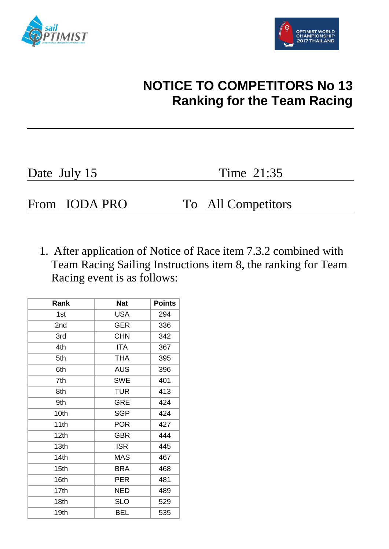



## **NOTICE TO COMPETITORS No 13 Ranking for the Team Racing**

Date July 15 Time 21:35

From IODA PRO To All Competitors

1. After application of Notice of Race item 7.3.2 combined with Team Racing Sailing Instructions item 8, the ranking for Team Racing event is as follows:

| Rank             | <b>Nat</b> | <b>Points</b> |
|------------------|------------|---------------|
| 1st              | <b>USA</b> | 294           |
| 2nd              | <b>GER</b> | 336           |
| 3rd              | <b>CHN</b> | 342           |
| 4th              | <b>ITA</b> | 367           |
| 5th              | <b>THA</b> | 395           |
| 6th              | <b>AUS</b> | 396           |
| 7th              | <b>SWE</b> | 401           |
| 8th              | <b>TUR</b> | 413           |
| 9th              | <b>GRE</b> | 424           |
| 10th             | <b>SGP</b> | 424           |
| 11th             | <b>POR</b> | 427           |
| 12 <sub>th</sub> | <b>GBR</b> | 444           |
| 13th             | <b>ISR</b> | 445           |
| 14th             | <b>MAS</b> | 467           |
| 15 <sub>th</sub> | <b>BRA</b> | 468           |
| 16th             | <b>PER</b> | 481           |
| 17th             | <b>NED</b> | 489           |
| 18 <sub>th</sub> | <b>SLO</b> | 529           |
| 19th             | <b>BEL</b> | 535           |